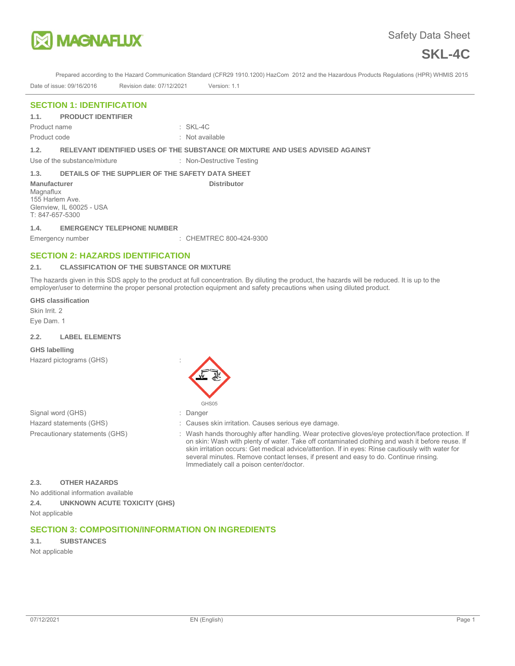



Prepared according to the Hazard Communication Standard (CFR29 1910.1200) HazCom 2012 and the Hazardous Products Regulations (HPR) WHMIS 2015

Date of issue: 09/16/2016 Revision date: 07/12/2021 Version: 1.1

## **SECTION 1: IDENTIFICATION**

Product name : SKL-4C

Product code : Not available : Not available

# **1.2. RELEVANT IDENTIFIED USES OF THE SUBSTANCE OR MIXTURE AND USES ADVISED AGAINST**

Use of the substance/mixture : Non-Destructive Testing

**Distributor** 

### **1.3. DETAILS OF THE SUPPLIER OF THE SAFETY DATA SHEET**

**Manufacturer Magnaflux** 155 Harlem Ave. Glenview, IL 60025 - USA T: 847-657-5300

#### **1.4. EMERGENCY TELEPHONE NUMBER**

Emergency number : CHEMTREC 800-424-9300

# **SECTION 2: HAZARDS IDENTIFICATION**

#### **2.1. CLASSIFICATION OF THE SUBSTANCE OR MIXTURE**

The hazards given in this SDS apply to the product at full concentration. By diluting the product, the hazards will be reduced. It is up to the employer/user to determine the proper personal protection equipment and safety precautions when using diluted product.

#### **GHS classification**

Skin Irrit. 2 Eye Dam. 1

#### **2.2. LABEL ELEMENTS**

#### **GHS labelling**

Hazard pictograms (GHS) :



- Signal word (GHS)  $\qquad \qquad$ : Danger
- Hazard statements (GHS)  $\qquad \qquad$ : Causes skin irritation. Causes serious eye damage.
- Precautionary statements (GHS) : Wash hands thoroughly after handling. Wear protective gloves/eye protection/face protection. If on skin: Wash with plenty of water. Take off contaminated clothing and wash it before reuse. If skin irritation occurs: Get medical advice/attention. If in eyes: Rinse cautiously with water for several minutes. Remove contact lenses, if present and easy to do. Continue rinsing. Immediately call a poison center/doctor.

# **2.3. OTHER HAZARDS**

No additional information available

**2.4. UNKNOWN ACUTE TOXICITY (GHS)** 

Not applicable

# **SECTION 3: COMPOSITION/INFORMATION ON INGREDIENTS**

**3.1. SUBSTANCES**  Not applicable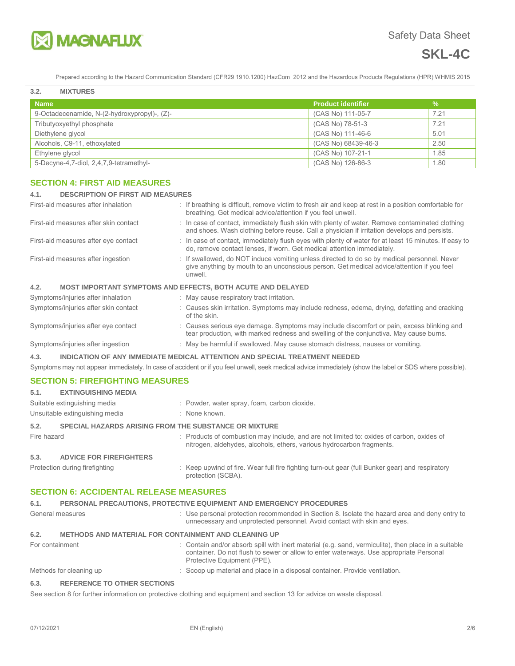

# **SKL-4C**

Prepared according to the Hazard Communication Standard (CFR29 1910.1200) HazCom 2012 and the Hazardous Products Regulations (HPR) WHMIS 2015

| 3.2.<br><b>MIXTURES</b>                      |                           |               |
|----------------------------------------------|---------------------------|---------------|
| <b>Name</b>                                  | <b>Product identifier</b> | $\frac{9}{6}$ |
| 9-Octadecenamide, N-(2-hydroxypropyl)-, (Z)- | (CAS No) 111-05-7         | 7.21          |
| Tributyoxyethyl phosphate                    | (CAS No) 78-51-3          | 7.21          |
| Diethylene glycol                            | (CAS No) 111-46-6         | 5.01          |
| Alcohols, C9-11, ethoxylated                 | (CAS No) 68439-46-3       | 2.50          |
| Ethylene glycol                              | (CAS No) 107-21-1         | 1.85          |
| 5-Decyne-4,7-diol, 2,4,7,9-tetramethyl-      | (CAS No) 126-86-3         | 1.80          |

# **SECTION 4: FIRST AID MEASURES**

# **4.1. DESCRIPTION OF FIRST AID MEASURES**

| First-aid measures after inhalation                                        |  | : If breathing is difficult, remove victim to fresh air and keep at rest in a position comfortable for<br>breathing. Get medical advice/attention if you feel unwell.                               |  |
|----------------------------------------------------------------------------|--|-----------------------------------------------------------------------------------------------------------------------------------------------------------------------------------------------------|--|
| First-aid measures after skin contact                                      |  | : In case of contact, immediately flush skin with plenty of water. Remove contaminated clothing<br>and shoes. Wash clothing before reuse. Call a physician if irritation develops and persists.     |  |
| First-aid measures after eye contact                                       |  | : In case of contact, immediately flush eyes with plenty of water for at least 15 minutes. If easy to<br>do, remove contact lenses, if worn. Get medical attention immediately.                     |  |
| First-aid measures after ingestion                                         |  | : If swallowed, do NOT induce vomiting unless directed to do so by medical personnel. Never<br>give anything by mouth to an unconscious person. Get medical advice/attention if you feel<br>unwell. |  |
| <b>MOST IMPORTANT SYMPTOMS AND EFFECTS, BOTH ACUTE AND DELAYED</b><br>4.2. |  |                                                                                                                                                                                                     |  |
| Symptoms/injuries after inhalation                                         |  | : May cause respiratory tract irritation.                                                                                                                                                           |  |
| Symptoms/injuries after skin contact                                       |  | : Causes skin irritation. Symptoms may include redness, edema, drying, defatting and cracking<br>of the skin.                                                                                       |  |
| Symptoms/injuries after eye contact                                        |  | : Causes serious eye damage. Symptoms may include discomfort or pain, excess blinking and<br>tear production, with marked redness and swelling of the conjunctiva. May cause burns.                 |  |
| Symptoms/injuries after ingestion                                          |  | : May be harmful if swallowed. May cause stomach distress, nausea or vomiting.                                                                                                                      |  |

# **4.3. INDICATION OF ANY IMMEDIATE MEDICAL ATTENTION AND SPECIAL TREATMENT NEEDED**

Symptoms may not appear immediately. In case of accident or if you feel unwell, seek medical advice immediately (show the label or SDS where possible).

# **SECTION 5: FIREFIGHTING MEASURES**

| 5.1.        | <b>EXTINGUISHING MEDIA</b>                                   |  |                                                                                                                                                                    |
|-------------|--------------------------------------------------------------|--|--------------------------------------------------------------------------------------------------------------------------------------------------------------------|
|             | Suitable extinguishing media                                 |  | : Powder, water spray, foam, carbon dioxide.                                                                                                                       |
|             | Unsuitable extinguishing media                               |  | : None known.                                                                                                                                                      |
| 5.2.        | <b>SPECIAL HAZARDS ARISING FROM THE SUBSTANCE OR MIXTURE</b> |  |                                                                                                                                                                    |
| Fire hazard |                                                              |  | : Products of combustion may include, and are not limited to: oxides of carbon, oxides of<br>nitrogen, aldehydes, alcohols, ethers, various hydrocarbon fragments. |
| 5.3.        | <b>ADVICE FOR FIREFIGHTERS</b>                               |  |                                                                                                                                                                    |
|             | Protection during firefighting                               |  | : Keep upwind of fire. Wear full fire fighting turn-out gear (full Bunker gear) and respiratory<br>protection (SCBA).                                              |

# **SECTION 6: ACCIDENTAL RELEASE MEASURES**

| 6.1.            | PERSONAL PRECAUTIONS, PROTECTIVE EQUIPMENT AND EMERGENCY PROCEDURES |                                                                                                                                                                                                                               |  |
|-----------------|---------------------------------------------------------------------|-------------------------------------------------------------------------------------------------------------------------------------------------------------------------------------------------------------------------------|--|
|                 | General measures                                                    | : Use personal protection recommended in Section 8. Isolate the hazard area and deny entry to<br>unnecessary and unprotected personnel. Avoid contact with skin and eyes.                                                     |  |
| 6.2.            | <b>METHODS AND MATERIAL FOR CONTAINMENT AND CLEANING UP</b>         |                                                                                                                                                                                                                               |  |
| For containment |                                                                     | : Contain and/or absorb spill with inert material (e.g. sand, vermiculite), then place in a suitable<br>container. Do not flush to sewer or allow to enter waterways. Use appropriate Personal<br>Protective Equipment (PPE). |  |
|                 | Methods for cleaning up                                             | : Scoop up material and place in a disposal container. Provide ventilation.                                                                                                                                                   |  |
| 63              | <b>DEFEDENCE TO OTHED SECTIONS</b>                                  |                                                                                                                                                                                                                               |  |

#### **6.3. REFERENCE TO OTHER SECTIONS**

See section 8 for further information on protective clothing and equipment and section 13 for advice on waste disposal.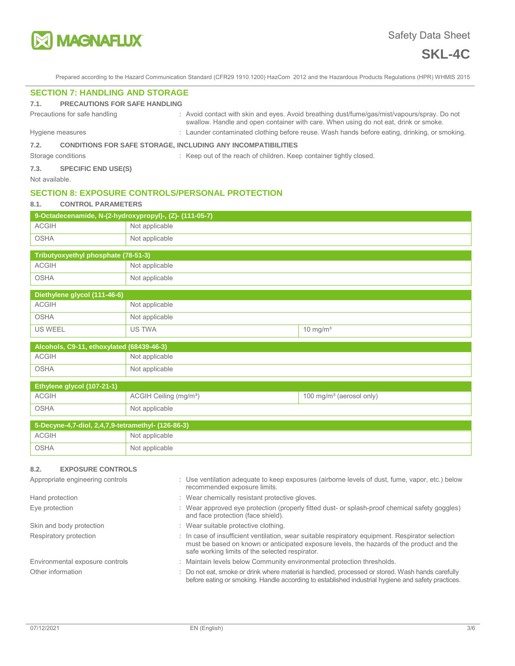

Prepared according to the Hazard Communication Standard (CFR29 1910.1200) HazCom 2012 and the Hazardous Products Regulations (HPR) WHMIS 2015

# **SECTION 7: HANDLING AND STORAGE**

#### **7.1. PRECAUTIONS FOR SAFE HANDLING**

Precautions for safe handling **interpretations** : Avoid contact with skin and eyes. Avoid breathing dust/fume/gas/mist/vapours/spray. Do not

swallow. Handle and open container with care. When using do not eat, drink or smoke. Hygiene measures **in the start of the Contaminated clothing before reuse**. Wash hands before eating, drinking, or smoking.

# **7.2. CONDITIONS FOR SAFE STORAGE, INCLUDING ANY INCOMPATIBILITIES**

Storage conditions : Keep out of the reach of children. Keep container tightly closed.

**7.3. SPECIFIC END USE(S)** 

Not available.

# **SECTION 8: EXPOSURE CONTROLS/PERSONAL PROTECTION**

### **8.1. CONTROL PARAMETERS**

| 9-Octadecenamide, N-(2-hydroxypropyl)-, (Z)- (111-05-7) |                |  |  |
|---------------------------------------------------------|----------------|--|--|
| <b>ACGIH</b>                                            | Not applicable |  |  |
| OSHA                                                    | Not applicable |  |  |

| Tributyoxyethyl phosphate (78-51-3) |                |  |  |
|-------------------------------------|----------------|--|--|
| ACGIH                               | Not applicable |  |  |
| OSHA                                | Not applicable |  |  |

| Diethylene glycol (111-46-6) |                |                      |
|------------------------------|----------------|----------------------|
| ACGIH                        | Not applicable |                      |
| OSHA                         | Not applicable |                      |
| 'US WEEL                     | US TWA         | 10 mg/m <sup>3</sup> |

| Alcohols, C9-11, ethoxylated (68439-46-3) |                |  |  |
|-------------------------------------------|----------------|--|--|
| ACGIH                                     | Not applicable |  |  |
| OSHA                                      | Not applicable |  |  |

| Ethylene glycol (107-21-1) |                                    |                                      |
|----------------------------|------------------------------------|--------------------------------------|
| <b>ACGIH</b>               | ACGIH Ceiling (mg/m <sup>3</sup> ) | 100 mg/m <sup>3</sup> (aerosol only) |
| <b>OSHA</b>                | Not applicable                     |                                      |
|                            |                                    |                                      |

| 5-Decyne-4,7-diol, 2,4,7,9-tetramethyl- (126-86-3) |                |  |  |
|----------------------------------------------------|----------------|--|--|
| ACGIH                                              | Not applicable |  |  |
| OSHA                                               | Not applicable |  |  |

# **8.2. EXPOSURE CONTROLS**

| Appropriate engineering controls | : Use ventilation adequate to keep exposures (airborne levels of dust, fume, vapor, etc.) below<br>recommended exposure limits.                                                                                                                  |
|----------------------------------|--------------------------------------------------------------------------------------------------------------------------------------------------------------------------------------------------------------------------------------------------|
| Hand protection                  | : Wear chemically resistant protective gloves.                                                                                                                                                                                                   |
| Eye protection                   | : Wear approved eye protection (properly fitted dust- or splash-proof chemical safety goggles)<br>and face protection (face shield).                                                                                                             |
| Skin and body protection         | : Wear suitable protective clothing.                                                                                                                                                                                                             |
| Respiratory protection           | : In case of insufficient ventilation, wear suitable respiratory equipment. Respirator selection<br>must be based on known or anticipated exposure levels, the hazards of the product and the<br>safe working limits of the selected respirator. |
| Environmental exposure controls  | : Maintain levels below Community environmental protection thresholds.                                                                                                                                                                           |
| Other information                | : Do not eat, smoke or drink where material is handled, processed or stored. Wash hands carefully<br>before eating or smoking. Handle according to established industrial hygiene and safety practices.                                          |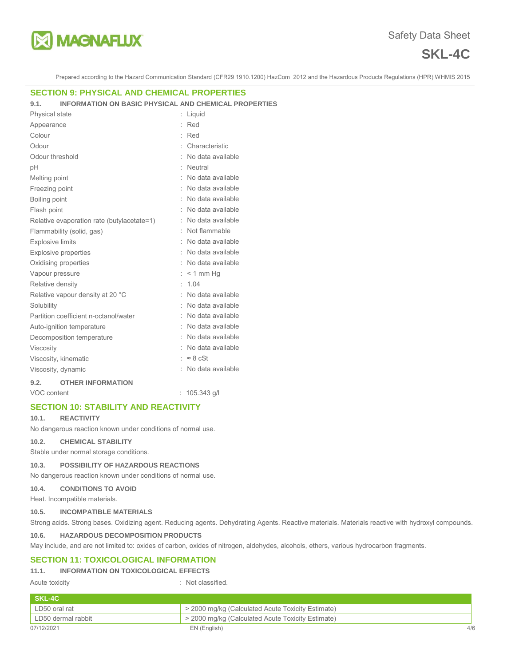

# **SKL-4C**

Prepared according to the Hazard Communication Standard (CFR29 1910.1200) HazCom 2012 and the Hazardous Products Regulations (HPR) WHMIS 2015

#### **SECTION 9: PHYSICAL AND CHEMICAL PROPERTIES**

#### **9.1. INFORMATION ON BASIC PHYSICAL AND CHEMICAL PROPERTIES**

| Physical state          |                                            |  | Liquid            |
|-------------------------|--------------------------------------------|--|-------------------|
| Appearance              |                                            |  | Red               |
| Colour                  |                                            |  | Red               |
| Odour                   |                                            |  | Characteristic    |
| Odour threshold         |                                            |  | No data available |
| pH                      |                                            |  | Neutral           |
| Melting point           |                                            |  | No data available |
| Freezing point          |                                            |  | No data available |
| Boiling point           |                                            |  | No data available |
| Flash point             |                                            |  | No data available |
|                         | Relative evaporation rate (butylacetate=1) |  | No data available |
|                         | Flammability (solid, gas)                  |  | Not flammable     |
| <b>Explosive limits</b> |                                            |  | No data available |
|                         | <b>Explosive properties</b>                |  | No data available |
|                         | Oxidising properties                       |  | No data available |
| Vapour pressure         |                                            |  | $< 1$ mm Hq       |
| Relative density        |                                            |  | 1.04              |
|                         | Relative vapour density at 20 °C           |  | No data available |
| Solubility              |                                            |  | No data available |
|                         | Partition coefficient n-octanol/water      |  | No data available |
|                         | Auto-ignition temperature                  |  | No data available |
|                         | Decomposition temperature                  |  | No data available |
| <b>Viscosity</b>        |                                            |  | No data available |
|                         | Viscosity, kinematic                       |  | $\approx 8$ cSt   |
| Viscosity, dynamic      |                                            |  | No data available |
| 9.2.                    | <b>OTHER INFORMATION</b>                   |  |                   |

VOC content : 105.343 g/l

# **SECTION 10: STABILITY AND REACTIVITY**

#### **10.1. REACTIVITY**

No dangerous reaction known under conditions of normal use.

**10.2. CHEMICAL STABILITY** 

Stable under normal storage conditions.

#### **10.3. POSSIBILITY OF HAZARDOUS REACTIONS**

No dangerous reaction known under conditions of normal use.

#### **10.4. CONDITIONS TO AVOID**

Heat. Incompatible materials.

#### **10.5. INCOMPATIBLE MATERIALS**

Strong acids. Strong bases. Oxidizing agent. Reducing agents. Dehydrating Agents. Reactive materials. Materials reactive with hydroxyl compounds.

#### **10.6. HAZARDOUS DECOMPOSITION PRODUCTS**

May include, and are not limited to: oxides of carbon, oxides of nitrogen, aldehydes, alcohols, ethers, various hydrocarbon fragments.

# **SECTION 11: TOXICOLOGICAL INFORMATION**

# **11.1. INFORMATION ON TOXICOLOGICAL EFFECTS**

### Acute toxicity **in the case of the Case of the Case of the Case of the Case of the Case of the Case of the Case of the Case of the Case of the Case of the Case of the Case of the Case of the Case of the Case of the Case of**

| SKL-4C             |                                                   |     |
|--------------------|---------------------------------------------------|-----|
| LD50 oral rat      | > 2000 mg/kg (Calculated Acute Toxicity Estimate) |     |
| LD50 dermal rabbit | > 2000 mg/kg (Calculated Acute Toxicity Estimate) |     |
| 07/12/2021         | EN (English)                                      | 4/6 |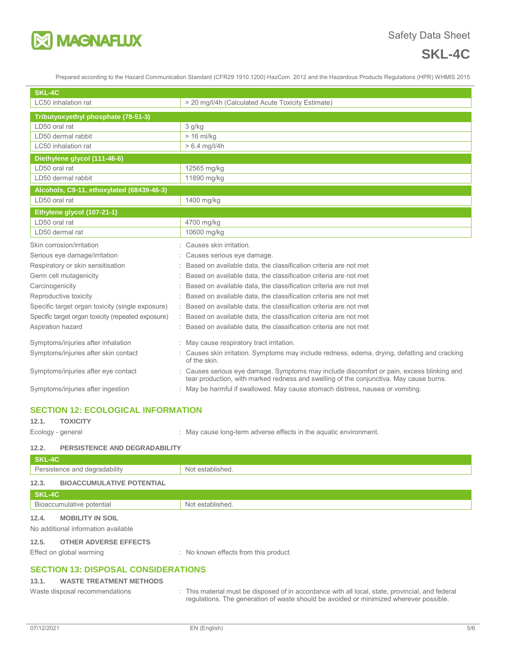

# **SKL-4C**

Prepared according to the Hazard Communication Standard (CFR29 1910.1200) HazCom 2012 and the Hazardous Products Regulations (HPR) WHMIS 2015

| SKL-4C                                             |                                                                                                                                                                                     |  |  |
|----------------------------------------------------|-------------------------------------------------------------------------------------------------------------------------------------------------------------------------------------|--|--|
| LC50 inhalation rat                                | > 20 mg/l/4h (Calculated Acute Toxicity Estimate)                                                                                                                                   |  |  |
| Tributyoxyethyl phosphate (78-51-3)                |                                                                                                                                                                                     |  |  |
| LD50 oral rat                                      | 3 g/kg                                                                                                                                                                              |  |  |
| LD50 dermal rabbit                                 | $> 16$ ml/kg                                                                                                                                                                        |  |  |
| LC50 inhalation rat                                | $> 6.4$ mg/l/4h                                                                                                                                                                     |  |  |
| Diethylene glycol (111-46-6)                       |                                                                                                                                                                                     |  |  |
| LD50 oral rat                                      | 12565 mg/kg                                                                                                                                                                         |  |  |
| LD50 dermal rabbit                                 | 11890 mg/kg                                                                                                                                                                         |  |  |
| Alcohols, C9-11, ethoxylated (68439-46-3)          |                                                                                                                                                                                     |  |  |
| LD50 oral rat                                      | 1400 mg/kg                                                                                                                                                                          |  |  |
| Ethylene glycol (107-21-1)                         |                                                                                                                                                                                     |  |  |
| LD50 oral rat                                      | 4700 mg/kg                                                                                                                                                                          |  |  |
| LD50 dermal rat                                    | 10600 mg/kg                                                                                                                                                                         |  |  |
| Skin corrosion/irritation                          | Causes skin irritation.                                                                                                                                                             |  |  |
| Serious eye damage/irritation                      | Causes serious eye damage.                                                                                                                                                          |  |  |
| Respiratory or skin sensitisation                  | Based on available data, the classification criteria are not met                                                                                                                    |  |  |
| Germ cell mutagenicity                             | Based on available data, the classification criteria are not met                                                                                                                    |  |  |
| Carcinogenicity                                    | Based on available data, the classification criteria are not met                                                                                                                    |  |  |
| Reproductive toxicity                              | Based on available data, the classification criteria are not met                                                                                                                    |  |  |
| Specific target organ toxicity (single exposure)   | Based on available data, the classification criteria are not met                                                                                                                    |  |  |
| Specific target organ toxicity (repeated exposure) | Based on available data, the classification criteria are not met                                                                                                                    |  |  |
| Aspiration hazard                                  | Based on available data, the classification criteria are not met                                                                                                                    |  |  |
| Symptoms/injuries after inhalation                 | : May cause respiratory tract irritation.                                                                                                                                           |  |  |
| Symptoms/injuries after skin contact               | Causes skin irritation. Symptoms may include redness, edema, drying, defatting and cracking<br>of the skin.                                                                         |  |  |
| Symptoms/injuries after eye contact                | : Causes serious eye damage. Symptoms may include discomfort or pain, excess blinking and<br>tear production, with marked redness and swelling of the conjunctiva. May cause burns. |  |  |
| Symptoms/injuries after ingestion                  | : May be harmful if swallowed. May cause stomach distress, nausea or vomiting.                                                                                                      |  |  |

# **SECTION 12: ECOLOGICAL INFORMATION**

# **12.1. TOXICITY**

Ecology - general **Ecology** - general  $\cdot$  May cause long-term adverse effects in the aquatic environment.

# **12.2. PERSISTENCE AND DEGRADABILITY**

| SKL-4C                                    |                  |  |
|-------------------------------------------|------------------|--|
| Persistence and degradability             | Not established. |  |
| 12.3.<br><b>BIOACCUMULATIVE POTENTIAL</b> |                  |  |
| SKL-4C                                    |                  |  |
| Bioaccumulative potential                 | Not established. |  |
| 12.4.<br><b>MOBILITY IN SOIL</b>          |                  |  |
| No additional information available       |                  |  |
| 12.5.<br><b>OTHER ADVERSE EFFECTS</b>     |                  |  |

Effect on global warming **Effect** on global warming : No known effects from this product.

# **SECTION 13: DISPOSAL CONSIDERATIONS**

# **13.1. WASTE TREATMENT METHODS**

Waste disposal recommendations : This material must be disposed of in accordance with all local, state, provincial, and federal regulations. The generation of waste should be avoided or minimized wherever possible.